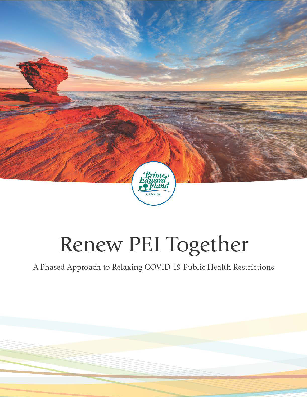

# Renew PEI Together

A Phased Approach to Relaxing COVID-19 Public Health Restrictions

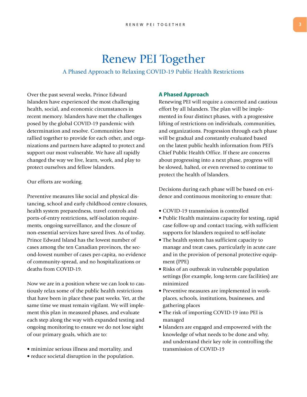### Renew PEI Together

### A Phased Approach to Relaxing COVID-19 Public Health Restrictions

Over the past several weeks, Prince Edward Islanders have experienced the most challenging health, social, and economic circumstances in recent memory. Islanders have met the challenges posed by the global COVID-19 pandemic with determination and resolve. Communities have rallied together to provide for each other, and organizations and partners have adapted to protect and support our most vulnerable. We have all rapidly changed the way we live, learn, work, and play to protect ourselves and fellow Islanders.

### Our efforts are working.

Preventive measures like social and physical distancing, school and early childhood centre closures, health system preparedness, travel controls and ports-of-entry restrictions, self-isolation requirements, ongoing surveillance, and the closure of non-essential services have saved lives. As of today, Prince Edward Island has the lowest number of cases among the ten Canadian provinces, the second-lowest number of cases per-capita, no evidence of community-spread, and no hospitalizations or deaths from COVID-19.

Now we are in a position where we can look to cautiously relax some of the public health restrictions that have been in place these past weeks. Yet, at the same time we must remain vigilant. We will implement this plan in measured phases, and evaluate each step along the way with expanded testing and ongoing monitoring to ensure we do not lose sight of our primary goals, which are to:

- minimize serious illness and mortality, and
- reduce societal disruption in the population.

### **A Phased Approach**

Renewing PEI will require a concerted and cautious effort by all Islanders. The plan will be implemented in four distinct phases, with a progressive lifting of restrictions on individuals, communities, and organizations. Progression through each phase will be gradual and constantly evaluated based on the latest public health information from PEI's Chief Public Health Office. If there are concerns about progressing into a next phase, progress will be slowed, halted, or even reversed to continue to protect the health of Islanders.

Decisions during each phase will be based on evidence and continuous monitoring to ensure that:

- COVID-19 transmission is controlled
- Public Health maintains capacity for testing, rapid case follow-up and contact tracing, with sufficient supports for Islanders required to self-isolate
- The health system has sufficient capacity to manage and treat cases, particularly in acute care and in the provision of personal protective equipment (PPE)
- Risks of an outbreak in vulnerable population settings (for example, long-term care facilities) are minimized
- Preventive measures are implemented in workplaces, schools, institutions, businesses, and gathering places
- The risk of importing COVID-19 into PEI is managed
- Islanders are engaged and empowered with the knowledge of what needs to be done and why, and understand their key role in controlling the transmission of COVID-19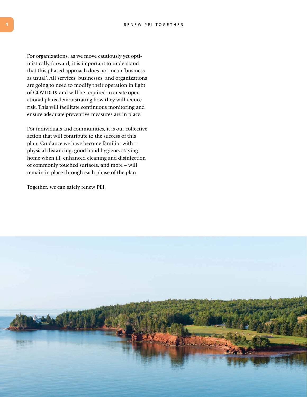For organizations, as we move cautiously yet optimistically forward, it is important to understand that this phased approach does not mean 'business as usual'. All services, businesses, and organizations are going to need to modify their operation in light of COVID-19 and will be required to create operational plans demonstrating how they will reduce risk. This will facilitate continuous monitoring and ensure adequate preventive measures are in place.

For individuals and communities, it is our collective action that will contribute to the success of this plan. Guidance we have become familiar with – physical distancing, good hand hygiene, staying home when ill, enhanced cleaning and disinfection of commonly touched surfaces, and more – will remain in place through each phase of the plan.

Together, we can safely renew PEI.

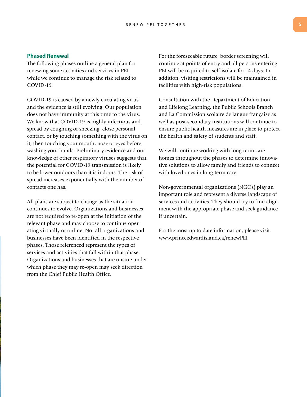#### RENEW PEI TOGETHER **5**

### **Phased Renewal**

The following phases outline a general plan for renewing some activities and services in PEI while we continue to manage the risk related to COVID-19.

COVID-19 is caused by a newly circulating virus and the evidence is still evolving. Our population does not have immunity at this time to the virus. We know that COVID-19 is highly infectious and spread by coughing or sneezing, close personal contact, or by touching something with the virus on it, then touching your mouth, nose or eyes before washing your hands. Preliminary evidence and our knowledge of other respiratory viruses suggests that the potential for COVID-19 transmission is likely to be lower outdoors than it is indoors. The risk of spread increases exponentially with the number of contacts one has.

All plans are subject to change as the situation continues to evolve. Organizations and businesses are not required to re-open at the initiation of the relevant phase and may choose to continue operating virtually or online. Not all organizations and businesses have been identified in the respective phases. Those referenced represent the types of services and activities that fall within that phase. Organizations and businesses that are unsure under which phase they may re-open may seek direction from the Chief Public Health Office.

For the foreseeable future, border screening will continue at points of entry and all persons entering PEI will be required to self-isolate for 14 days. In addition, visiting restrictions will be maintained in facilities with high-risk populations.

Consultation with the Department of Education and Lifelong Learning, the Public Schools Branch and La Commission scolaire de langue française as well as post-secondary institutions will continue to ensure public health measures are in place to protect the health and safety of students and staff.

We will continue working with long-term care homes throughout the phases to determine innovative solutions to allow family and friends to connect with loved ones in long-term care.

Non-governmental organizations (NGOs) play an important role and represent a diverse landscape of services and activities. They should try to find alignment with the appropriate phase and seek guidance if uncertain.

For the most up to date information, please visit: www.princeedwardisland.ca/renewPEI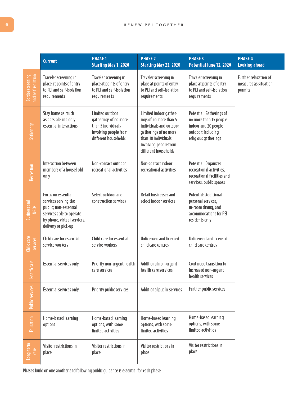### RENEW PEI TOGETHER

|                                         | <b>Current</b>                                                                                                                                        | <b>PHASE 1</b><br>Starting May 1, 2020                                                                          | <b>PHASE 2</b><br>Starting May 22, 2020                                                                                                                                      | <b>PHASE 3</b><br>Potential June 12, 2020                                                                                | <b>PHASE 4</b><br><b>Looking ahead</b>                    |
|-----------------------------------------|-------------------------------------------------------------------------------------------------------------------------------------------------------|-----------------------------------------------------------------------------------------------------------------|------------------------------------------------------------------------------------------------------------------------------------------------------------------------------|--------------------------------------------------------------------------------------------------------------------------|-----------------------------------------------------------|
| Border screening<br>and self-isolation  | Traveler screening in<br>place at points of entry<br>to PEI and self-isolation<br>requirements                                                        | Traveler screening in<br>place at points of entry<br>to PEI and self-isolation<br>requirements                  | Traveler screening in<br>place at points of entry<br>to PEI and self-isolation<br>requirements                                                                               | Traveler screening in<br>place at points of entry<br>to PEI and self-isolation<br>requirements                           | Further relaxation of<br>measures as situation<br>permits |
| Gatherings                              | Stay home as much<br>as possible and only<br>essential interactions                                                                                   | Limited outdoor<br>gatherings of no more<br>than 5 individuals<br>involving people from<br>different households | Limited indoor gather-<br>ings of no more than 5<br>individuals and outdoor<br>gatherings of no more<br>than 10 individuals<br>involving people from<br>different households | Potential: Gatherings of<br>no more than 15 people<br>indoor and 20 people<br>outdoor; including<br>religious gatherings |                                                           |
| Recreation                              | Interaction between<br>members of a household<br>only                                                                                                 | Non-contact outdoor<br>recreational activities                                                                  | Non-contact indoor<br>recreational activities                                                                                                                                | Potential: Organized<br>recreational activities,<br>recreational facilities and<br>services, public spaces               |                                                           |
| <b>Business and</b><br>NGO <sub>S</sub> | Focus on essential<br>services serving the<br>public; non-essential<br>services able to operate<br>by phone, virtual services,<br>delivery or pick-up | Select outdoor and<br>construction services                                                                     | Retail businesses and<br>select indoor services                                                                                                                              | Potential: Additional<br>personal services,<br>in-room dining, and<br>accommodations for PEI<br>residents only           |                                                           |
| Child care<br>services                  | Child care for essential<br>service workers                                                                                                           | Child care for essential<br>service workers                                                                     | Unlicensed and licensed<br>child care centres                                                                                                                                | Unlicensed and licensed<br>child care centres                                                                            |                                                           |
| lealth care                             | Essential services only                                                                                                                               | Priority non-urgent health<br>care services                                                                     | Additional non-urgent<br>health care services                                                                                                                                | Continued transition to<br>increased non-urgent<br>health services                                                       |                                                           |
| <b>Public services</b>                  | Essential services only                                                                                                                               | Priority public services                                                                                        | Additional public services                                                                                                                                                   | Further public services                                                                                                  |                                                           |
| Education                               | Home-based learning<br>options                                                                                                                        | Home-based learning<br>options, with some<br>limited activities                                                 | Home-based learning<br>options, with some<br>limited activities                                                                                                              | Home-based learning<br>options, with some<br>limited activities                                                          |                                                           |
| Long-term<br>care                       | Visitor restrictions in<br>place                                                                                                                      | Visitor restrictions in<br>place                                                                                | Visitor restrictions in<br>place                                                                                                                                             | Visitor restrictions in<br>place                                                                                         |                                                           |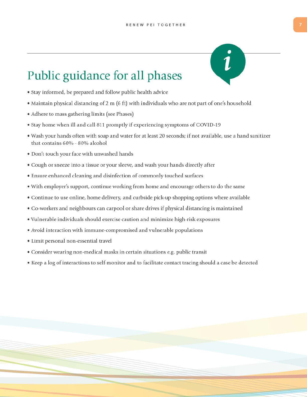### Public guidance for all phases

- Stay informed, be prepared and follow public health advice
- Maintain physical distancing of 2 m (6 ft) with individuals who are not part of one's household
- Adhere to mass gathering limits (see Phases)
- Stay home when ill and call 811 promptly if experiencing symptoms of COVID-19
- . Wash your hands often with soap and water for at least 20 seconds; if not available, use a hand sanitizer that contains 60% - 80% alcohol
- · Don't touch your face with unwashed hands
- Cough or sneeze into a tissue or your sleeve, and wash your hands directly after
- Ensure enhanced cleaning and disinfection of commonly touched surfaces
- With employer's support, continue working from home and encourage others to do the same
- Continue to use online, home delivery, and curbside pick-up shopping options where available
- Co-workers and neighbours can carpool or share drives if physical distancing is maintained
- . Vulnerable individuals should exercise caution and minimize high-risk exposures
- Avoid interaction with immune-compromised and vulnerable populations
- Limit personal non-essential travel
- Consider wearing non-medical masks in certain situations e.g. public transit
- Keep a log of interactions to self-monitor and to facilitate contact tracing should a case be detected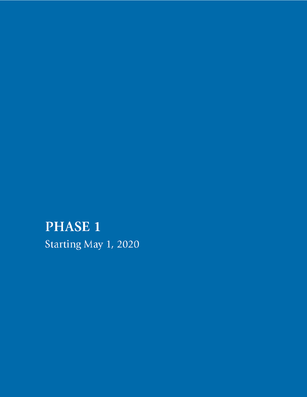## **PHASE 1**

Starting May 1, 2020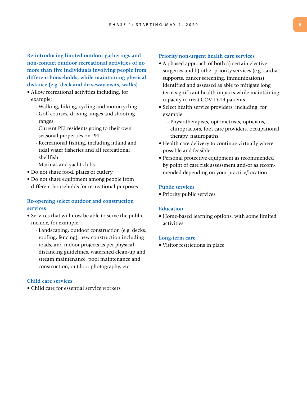**Re-introducing limited outdoor gatherings and non-contact outdoor recreational activities of no more than five individuals involving people from different households, while maintaining physical distance (e.g. deck and driveway visits, walks)** 

- Allow recreational activities including, for example:
	- Walking, hiking, cycling and motorcycling
	- Golf courses, driving ranges and shooting ranges
	- Current PEI residents going to their own seasonal properties on PEI
	- Recreational fishing, including inland and tidal water fisheries and all recreational shellfish
	- Marinas and yacht clubs
- Do not share food, plates or cutlery
- Do not share equipment among people from different households for recreational purposes

### **Re-opening select outdoor and construction services**

- Services that will now be able to serve the public include, for example:
	- Landscaping, outdoor construction (e.g. decks, roofing, fencing), new construction including roads, and indoor projects as per physical distancing guidelines, watershed clean-up and stream maintenance, pool maintenance and construction, outdoor photography, etc.

### **Child care services**

• Child care for essential service workers

### **Priority non-urgent health care services**

- A phased approach of both a) certain elective surgeries and b) other priority services (e.g. cardiac supports, cancer screening, immunizations) identified and assessed as able to mitigate long term significant health impacts while maintaining capacity to treat COVID-19 patients
- Select health service providers, including, for example:
	- Physiotherapists, optometrists, opticians, chiropractors, foot care providers, occupational therapy, naturopaths
- Health care delivery to continue virtually where possible and feasible
- Personal protective equipment as recommended by point of care risk assessment and/or as recommended depending on your practice/location

### **Public services**

• Priority public services

#### **Education**

• Home-based learning options, with some limited activities

#### **Long-term care**

• Visitor restrictions in place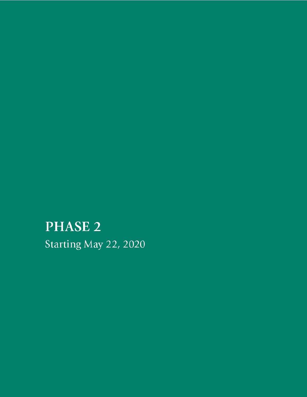### **PHASE 2**

Starting May 22, 2020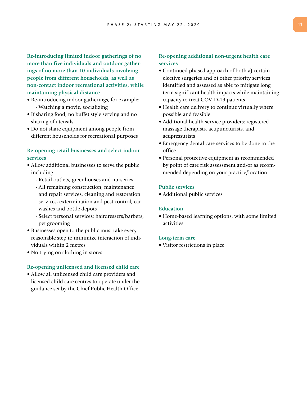**Re-introducing limited indoor gatherings of no more than five individuals and outdoor gatherings of no more than 10 individuals involving people from different households, as well as non-contact indoor recreational activities, while maintaining physical distance**

- Re-introducing indoor gatherings, for example: - Watching a movie, socializing
- If sharing food, no buffet style serving and no sharing of utensils
- Do not share equipment among people from different households for recreational purposes

### **Re-opening retail businesses and select indoor services**

- Allow additional businesses to serve the public including:
	- Retail outlets, greenhouses and nurseries
	- All remaining construction, maintenance and repair services, cleaning and restoration services, extermination and pest control, car washes and bottle depots
	- Select personal services: hairdressers/barbers, pet grooming
- Businesses open to the public must take every reasonable step to minimize interaction of individuals within 2 metres
- No trying on clothing in stores

### **Re-opening unlicensed and licensed child care**

• Allow all unlicensed child care providers and licensed child care centres to operate under the guidance set by the Chief Public Health Office

### **Re-opening additional non-urgent health care services**

- Continued phased approach of both a) certain elective surgeries and b) other priority services identified and assessed as able to mitigate long term significant health impacts while maintaining capacity to treat COVID-19 patients
- Health care delivery to continue virtually where possible and feasible
- Additional health service providers: registered massage therapists, acupuncturists, and acupressurists
- Emergency dental care services to be done in the office
- Personal protective equipment as recommended by point of care risk assessment and/or as recommended depending on your practice/location

### **Public services**

• Additional public services

### **Education**

• Home-based learning options, with some limited activities

#### **Long-term care**

• Visitor restrictions in place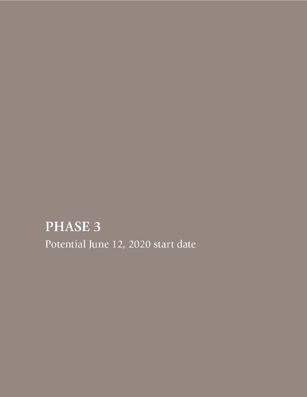### PHASE 3

Potential June 12, 2020 start date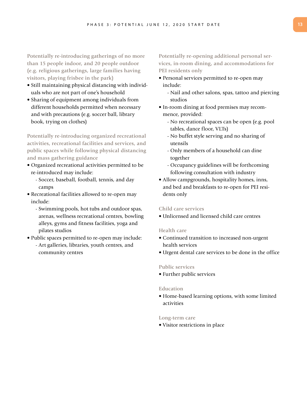**Potentially re-introducing gatherings of no more than 15 people indoor, and 20 people outdoor (e.g. religious gatherings, large families having visitors, playing frisbee in the park)**

- Still maintaining physical distancing with individuals who are not part of one's household
- Sharing of equipment among individuals from different households permitted when necessary and with precautions (e.g. soccer ball, library book, trying on clothes)

**Potentially re-introducing organized recreational activities, recreational facilities and services, and public spaces while following physical distancing and mass gathering guidance**

- Organized recreational activities permitted to be re-introduced may include:
	- Soccer, baseball, football, tennis, and day camps
- Recreational facilities allowed to re-open may include:
	- Swimming pools, hot tubs and outdoor spas, arenas, wellness recreational centres, bowling alleys, gyms and fitness facilities, yoga and pilates studios
- Public spaces permitted to re-open may include:
	- Art galleries, libraries, youth centres, and community centres

**Potentially re-opening additional personal services, in-room dining, and accommodations for PEI residents only** 

- Personal services permitted to re-open may include:
	- Nail and other salons, spas, tattoo and piercing studios
- In-room dining at food premises may recommence, provided:
	- No recreational spaces can be open (e.g. pool tables, dance floor, VLTs)
	- No buffet style serving and no sharing of utensils
	- Only members of a household can dine together
	- Occupancy guidelines will be forthcoming following consultation with industry
- Allow campgrounds, hospitality homes, inns, and bed and breakfasts to re-open for PEI residents only

### **Child care services**

• Unlicensed and licensed child care centres

### **Health care**

- Continued transition to increased non-urgent health services
- Urgent dental care services to be done in the office

### **Public services**

• Further public services

### **Education**

• Home-based learning options, with some limited activities

### **Long-term care**

• Visitor restrictions in place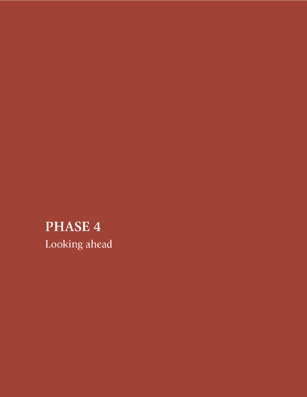### PHASE 4 Looking ahead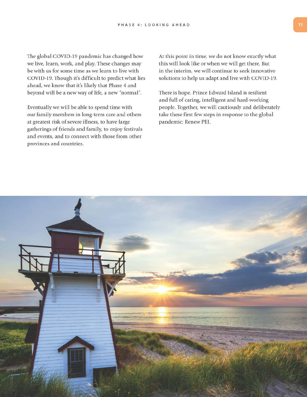The global COVID-19 pandemic has changed how we live, learn, work, and play. These changes may be with us for some time as we learn to live with COVID-19. Though it's difficult to predict what lies ahead, we know that it's likely that Phase 4 and beyond will be a new way of life, a new "normal".

Eventually we will be able to spend time with our family members in long-term care and others at greatest risk of severe illness, to have large gatherings of friends and family, to enjoy festivals and events, and to connect with those from other provinces and countries.

At this point in time, we do not know exactly what this will look like or when we will get there. But in the interim, we will continue to seek innovative solutions to help us adapt and live with COVID-19.

There is hope. Prince Edward Island is resilient and full of caring, intelligent and hard-working people. Together, we will cautiously and deliberately take these first few steps in response to the global pandemic: Renew PEI.